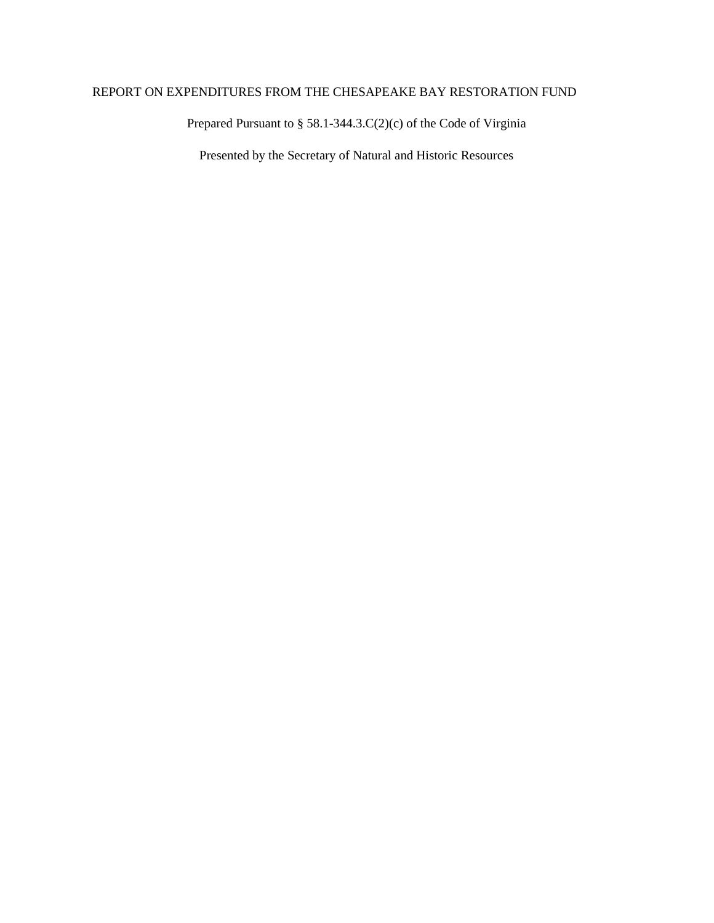# REPORT ON EXPENDITURES FROM THE CHESAPEAKE BAY RESTORATION FUND

Prepared Pursuant to § 58.1-344.3.C(2)(c) of the Code of Virginia

Presented by the Secretary of Natural and Historic Resources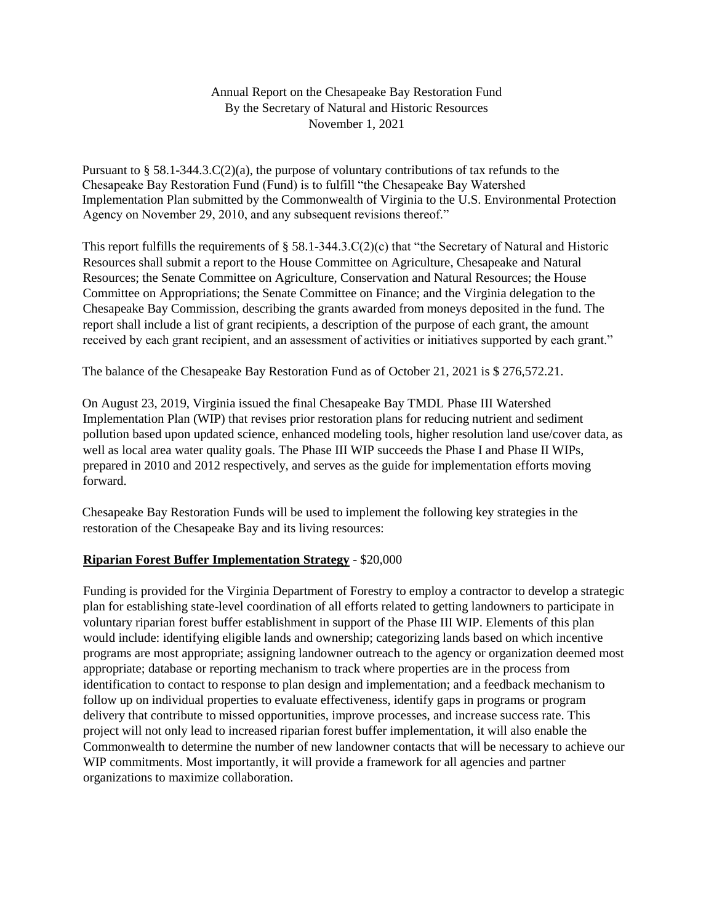## Annual Report on the Chesapeake Bay Restoration Fund By the Secretary of Natural and Historic Resources November 1, 2021

Pursuant to  $\S 58.1-344.3.C(2)(a)$ , the purpose of voluntary contributions of tax refunds to the Chesapeake Bay Restoration Fund (Fund) is to fulfill "the Chesapeake Bay Watershed Implementation Plan submitted by the Commonwealth of Virginia to the U.S. Environmental Protection Agency on November 29, 2010, and any subsequent revisions thereof."

This report fulfills the requirements of  $\S$  58.1-344.3.C(2)(c) that "the Secretary of Natural and Historic Resources shall submit a report to the House Committee on Agriculture, Chesapeake and Natural Resources; the Senate Committee on Agriculture, Conservation and Natural Resources; the House Committee on Appropriations; the Senate Committee on Finance; and the Virginia delegation to the Chesapeake Bay Commission, describing the grants awarded from moneys deposited in the fund. The report shall include a list of grant recipients, a description of the purpose of each grant, the amount received by each grant recipient, and an assessment of activities or initiatives supported by each grant."

The balance of the Chesapeake Bay Restoration Fund as of October 21, 2021 is \$ 276,572.21.

On August 23, 2019, Virginia issued the final Chesapeake Bay TMDL Phase III Watershed Implementation Plan (WIP) that revises prior restoration plans for reducing nutrient and sediment pollution based upon updated science, enhanced modeling tools, higher resolution land use/cover data, as well as local area water quality goals. The Phase III WIP succeeds the Phase I and Phase II WIPs, prepared in 2010 and 2012 respectively, and serves as the guide for implementation efforts moving forward.

Chesapeake Bay Restoration Funds will be used to implement the following key strategies in the restoration of the Chesapeake Bay and its living resources:

#### **Riparian Forest Buffer Implementation Strategy** - \$20,000

Funding is provided for the Virginia Department of Forestry to employ a contractor to develop a strategic plan for establishing state-level coordination of all efforts related to getting landowners to participate in voluntary riparian forest buffer establishment in support of the Phase III WIP. Elements of this plan would include: identifying eligible lands and ownership; categorizing lands based on which incentive programs are most appropriate; assigning landowner outreach to the agency or organization deemed most appropriate; database or reporting mechanism to track where properties are in the process from identification to contact to response to plan design and implementation; and a feedback mechanism to follow up on individual properties to evaluate effectiveness, identify gaps in programs or program delivery that contribute to missed opportunities, improve processes, and increase success rate. This project will not only lead to increased riparian forest buffer implementation, it will also enable the Commonwealth to determine the number of new landowner contacts that will be necessary to achieve our WIP commitments. Most importantly, it will provide a framework for all agencies and partner organizations to maximize collaboration.